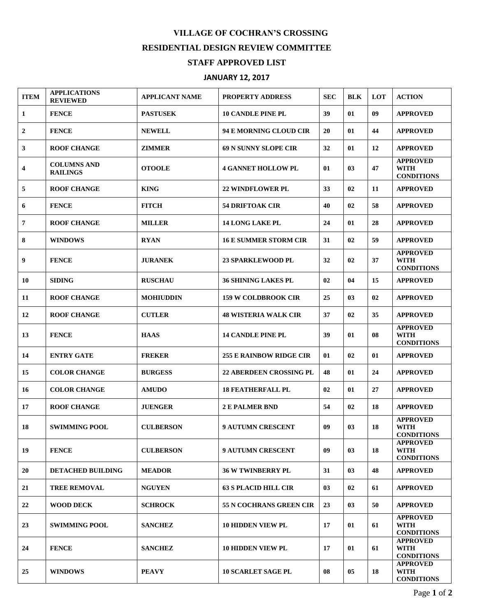## **VILLAGE OF COCHRAN'S CROSSING RESIDENTIAL DESIGN REVIEW COMMITTEE STAFF APPROVED LIST**

## **JANUARY 12, 2017**

| <b>ITEM</b>      | <b>APPLICATIONS</b><br><b>REVIEWED</b> | <b>APPLICANT NAME</b> | <b>PROPERTY ADDRESS</b>        | <b>SEC</b> | <b>BLK</b> | LOT | <b>ACTION</b>                                       |
|------------------|----------------------------------------|-----------------------|--------------------------------|------------|------------|-----|-----------------------------------------------------|
| 1                | <b>FENCE</b>                           | <b>PASTUSEK</b>       | <b>10 CANDLE PINE PL</b>       | 39         | 01         | 09  | <b>APPROVED</b>                                     |
| $\boldsymbol{2}$ | <b>FENCE</b>                           | <b>NEWELL</b>         | 94 E MORNING CLOUD CIR         | 20         | 01         | 44  | <b>APPROVED</b>                                     |
| 3                | <b>ROOF CHANGE</b>                     | ZIMMER                | 69 N SUNNY SLOPE CIR           | 32         | 01         | 12  | <b>APPROVED</b>                                     |
| 4                | <b>COLUMNS AND</b><br><b>RAILINGS</b>  | <b>OTOOLE</b>         | <b>4 GANNET HOLLOW PL</b>      | 01         | 03         | 47  | <b>APPROVED</b><br>WITH<br><b>CONDITIONS</b>        |
| 5                | <b>ROOF CHANGE</b>                     | <b>KING</b>           | <b>22 WINDFLOWER PL</b>        | 33         | 02         | 11  | <b>APPROVED</b>                                     |
| 6                | <b>FENCE</b>                           | <b>FITCH</b>          | <b>54 DRIFTOAK CIR</b>         | 40         | 02         | 58  | <b>APPROVED</b>                                     |
| 7                | <b>ROOF CHANGE</b>                     | <b>MILLER</b>         | <b>14 LONG LAKE PL</b>         | 24         | 01         | 28  | <b>APPROVED</b>                                     |
| 8                | <b>WINDOWS</b>                         | <b>RYAN</b>           | <b>16 E SUMMER STORM CIR</b>   | 31         | 02         | 59  | <b>APPROVED</b>                                     |
| 9                | <b>FENCE</b>                           | <b>JURANEK</b>        | <b>23 SPARKLEWOOD PL</b>       | 32         | 02         | 37  | <b>APPROVED</b><br><b>WITH</b><br><b>CONDITIONS</b> |
| 10               | <b>SIDING</b>                          | <b>RUSCHAU</b>        | <b>36 SHINING LAKES PL</b>     | 02         | 04         | 15  | <b>APPROVED</b>                                     |
| 11               | <b>ROOF CHANGE</b>                     | <b>MOHIUDDIN</b>      | <b>159 W COLDBROOK CIR</b>     | 25         | 03         | 02  | <b>APPROVED</b>                                     |
| 12               | <b>ROOF CHANGE</b>                     | <b>CUTLER</b>         | <b>48 WISTERIA WALK CIR</b>    | 37         | 02         | 35  | <b>APPROVED</b>                                     |
| 13               | <b>FENCE</b>                           | <b>HAAS</b>           | <b>14 CANDLE PINE PL</b>       | 39         | 01         | 08  | <b>APPROVED</b><br><b>WITH</b><br><b>CONDITIONS</b> |
| 14               | <b>ENTRY GATE</b>                      | <b>FREKER</b>         | <b>255 E RAINBOW RIDGE CIR</b> | 01         | 02         | 01  | <b>APPROVED</b>                                     |
| 15               | <b>COLOR CHANGE</b>                    | <b>BURGESS</b>        | <b>22 ABERDEEN CROSSING PL</b> | 48         | 01         | 24  | <b>APPROVED</b>                                     |
| 16               | <b>COLOR CHANGE</b>                    | <b>AMUDO</b>          | <b>18 FEATHERFALL PL</b>       | 02         | 01         | 27  | <b>APPROVED</b>                                     |
| 17               | <b>ROOF CHANGE</b>                     | <b>JUENGER</b>        | <b>2 E PALMER BND</b>          | 54         | 02         | 18  | <b>APPROVED</b>                                     |
| 18               | <b>SWIMMING POOL</b>                   | <b>CULBERSON</b>      | <b>9 AUTUMN CRESCENT</b>       | 09         | 03         | 18  | <b>APPROVED</b><br>WITH<br><b>CONDITIONS</b>        |
| 19               | <b>FENCE</b>                           | <b>CULBERSON</b>      | <b>9 AUTUMN CRESCENT</b>       | 09         | 03         | 18  | <b>APPROVED</b><br><b>WITH</b><br><b>CONDITIONS</b> |
| 20               | DETACHED BUILDING                      | <b>MEADOR</b>         | <b>36 W TWINBERRY PL</b>       | 31         | 03         | 48  | <b>APPROVED</b>                                     |
| 21               | <b>TREE REMOVAL</b>                    | <b>NGUYEN</b>         | <b>63 S PLACID HILL CIR</b>    | 03         | 02         | 61  | <b>APPROVED</b>                                     |
| 22               | <b>WOOD DECK</b>                       | <b>SCHROCK</b>        | 55 N COCHRANS GREEN CIR        | 23         | 03         | 50  | <b>APPROVED</b>                                     |
| 23               | <b>SWIMMING POOL</b>                   | <b>SANCHEZ</b>        | <b>10 HIDDEN VIEW PL</b>       | 17         | 01         | 61  | <b>APPROVED</b><br><b>WITH</b><br><b>CONDITIONS</b> |
| 24               | <b>FENCE</b>                           | <b>SANCHEZ</b>        | <b>10 HIDDEN VIEW PL</b>       | 17         | 01         | 61  | <b>APPROVED</b><br><b>WITH</b><br><b>CONDITIONS</b> |
| 25               | <b>WINDOWS</b>                         | <b>PEAVY</b>          | <b>10 SCARLET SAGE PL</b>      | 08         | 05         | 18  | <b>APPROVED</b><br><b>WITH</b><br><b>CONDITIONS</b> |